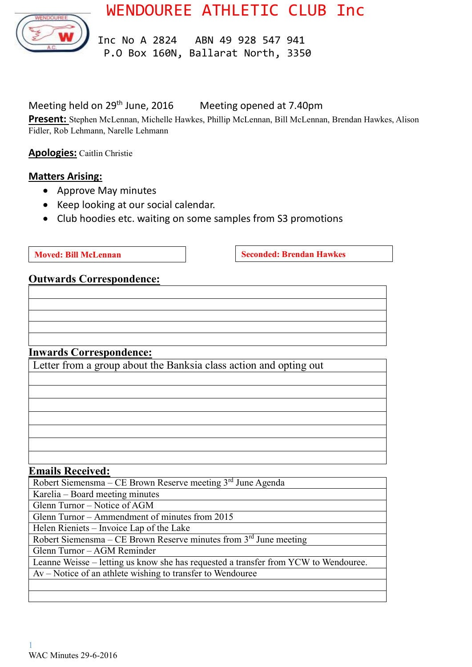WENDOUREE ATHLETIC CLUB Inc



 Inc No A 2824 ABN 49 928 547 941 P.O Box 160N, Ballarat North, 3350

# Meeting held on 29<sup>th</sup> June, 2016 Meeting opened at 7.40pm

**Present:** Stephen McLennan, Michelle Hawkes, Phillip McLennan, Bill McLennan, Brendan Hawkes, Alison Fidler, Rob Lehmann, Narelle Lehmann

**Apologies:** Caitlin Christie

# **Matters Arising:**

- Approve May minutes
- Keep looking at our social calendar.
- Club hoodies etc. waiting on some samples from S3 promotions

**Moved: Bill McLennan Seconded: Brendan Hawkes** 

### **Outwards Correspondence:**

### **Inwards Correspondence:**

Letter from a group about the Banksia class action and opting out

#### **Emails Received:**

| Robert Siemensma – CE Brown Reserve meeting $3rd$ June Agenda                       |
|-------------------------------------------------------------------------------------|
| Karelia – Board meeting minutes                                                     |
| Glenn Turnor - Notice of AGM                                                        |
| Glenn Turnor – Ammendment of minutes from 2015                                      |
| Helen Rieniets – Invoice Lap of the Lake                                            |
| Robert Siemensma – CE Brown Reserve minutes from $3rd$ June meeting                 |
| Glenn Turnor – AGM Reminder                                                         |
| Leanne Weisse – letting us know she has requested a transfer from YCW to Wendouree. |
| $Av$ – Notice of an athlete wishing to transfer to Wendouree                        |
|                                                                                     |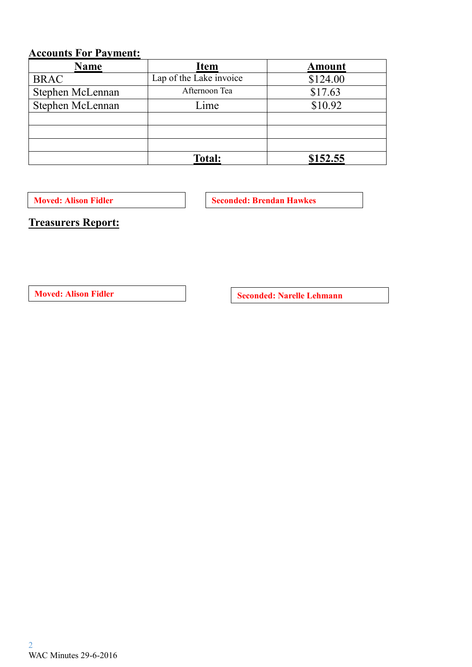# **Accounts For Payment:**

| <b>Name</b>      | <b>Item</b>             | <b>Amount</b> |
|------------------|-------------------------|---------------|
| <b>BRAC</b>      | Lap of the Lake invoice | \$124.00      |
| Stephen McLennan | Afternoon Tea           | \$17.63       |
| Stephen McLennan | Lime                    | \$10.92       |
|                  |                         |               |
|                  |                         |               |
|                  |                         |               |
|                  | <b>Total:</b>           | \$152.55      |

**Moved: Alison Fidler Seconded: Brendan Hawkes** 

**Treasurers Report:**

**Moved:** Alison Fidler **Seconded:** Narelle Lehmann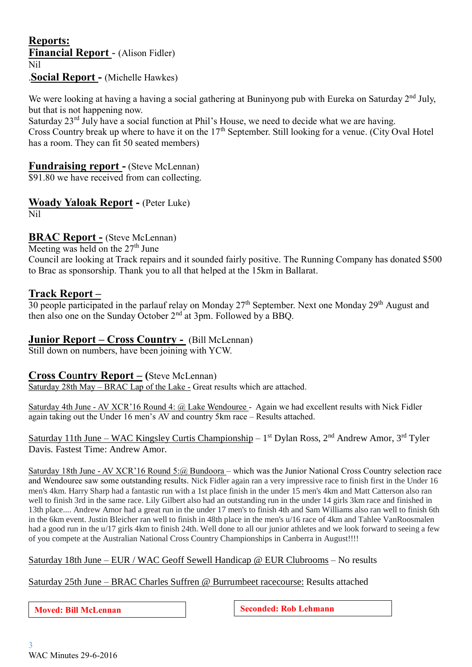### **Reports: Financial Report** - (Alison Fidler) Nil .**Social Report -** (Michelle Hawkes)

We were looking at having a having a social gathering at Buninyong pub with Eureka on Saturday 2<sup>nd</sup> July, but that is not happening now.

Saturday 23<sup>rd</sup> July have a social function at Phil's House, we need to decide what we are having. Cross Country break up where to have it on the  $17<sup>th</sup>$  September. Still looking for a venue. (City Oval Hotel has a room. They can fit 50 seated members)

### **Fundraising report -** (Steve McLennan)

\$91.80 we have received from can collecting.

# **Woady Yaloak Report -** (Peter Luke)

Nil

### **BRAC Report -** (Steve McLennan)

Meeting was held on the  $27<sup>th</sup>$  June

Council are looking at Track repairs and it sounded fairly positive. The Running Company has donated \$500 to Brac as sponsorship. Thank you to all that helped at the 15km in Ballarat.

### **Track Report –**

 $30$  people participated in the parlauf relay on Monday 27<sup>th</sup> September. Next one Monday 29<sup>th</sup> August and then also one on the Sunday October  $2<sup>nd</sup>$  at 3pm. Followed by a BBQ.

### **Junior Report – Cross Country -** (Bill McLennan)

Still down on numbers, have been joining with YCW.

### **Cross Co**u**ntry Report – (**Steve McLennan)

Saturday 28th May – BRAC Lap of the Lake - Great results which are attached.

Saturday 4th June - AV XCR'16 Round 4: @ Lake Wendouree - Again we had excellent results with Nick Fidler again taking out the Under 16 men's AV and country 5km race – Results attached.

Saturday 11th June – WAC Kingsley Curtis Championship – 1<sup>st</sup> Dylan Ross, 2<sup>nd</sup> Andrew Amor, 3<sup>rd</sup> Tyler Davis. Fastest Time: Andrew Amor.

Saturday 18th June - AV XCR'16 Round 5:@ Bundoora – which was the Junior National Cross Country selection race and Wendouree saw some outstanding results. Nick Fidler again ran a very impressive race to finish first in the Under 16 men's 4km. Harry Sharp had a fantastic run with a 1st place finish in the under 15 men's 4km and Matt Catterson also ran well to finish 3rd in the same race. Lily Gilbert also had an outstanding run in the under 14 girls 3km race and finished in 13th place.... Andrew Amor had a great run in the under 17 men's to finish 4th and Sam Williams also ran well to finish 6th in the 6km event. Justin Bleicher ran well to finish in 48th place in the men's u/16 race of 4km and Tahlee VanRoosmalen had a good run in the u/17 girls 4km to finish 24th. Well done to all our junior athletes and we look forward to seeing a few of you compete at the Australian National Cross Country Championships in Canberra in August!!!!

Saturday 18th June – EUR / WAC Geoff Sewell Handicap @ EUR Clubrooms – No results

#### Saturday 25th June – BRAC Charles Suffren @ Burrumbeet racecourse: Results attached

**Moved:** Bill McLennan **Seconded:** Rob Lehmann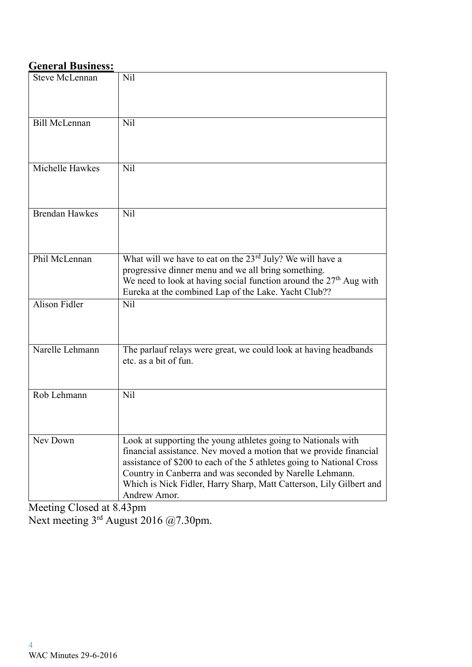### **General Business:**

| Nil<br><b>Steve McLennan</b><br><b>Bill McLennan</b><br>N <sub>il</sub><br>Michelle Hawkes<br>N <sub>il</sub><br><b>Brendan Hawkes</b><br>N <sub>il</sub><br>What will we have to eat on the 23 <sup>rd</sup> July? We will have a<br>Phil McLennan<br>progressive dinner menu and we all bring something.<br>We need to look at having social function around the $27th$ Aug with<br>Eureka at the combined Lap of the Lake. Yacht Club??<br>Alison Fidler<br>Nil<br>Narelle Lehmann<br>The parlauf relays were great, we could look at having headbands<br>etc. as a bit of fun.<br>Rob Lehmann<br>Nil<br>Nev Down<br>Look at supporting the young athletes going to Nationals with<br>financial assistance. Nev moved a motion that we provide financial<br>assistance of \$200 to each of the 5 athletes going to National Cross<br>Country in Canberra and was seconded by Narelle Lehmann. |                                                                     |
|--------------------------------------------------------------------------------------------------------------------------------------------------------------------------------------------------------------------------------------------------------------------------------------------------------------------------------------------------------------------------------------------------------------------------------------------------------------------------------------------------------------------------------------------------------------------------------------------------------------------------------------------------------------------------------------------------------------------------------------------------------------------------------------------------------------------------------------------------------------------------------------------------|---------------------------------------------------------------------|
|                                                                                                                                                                                                                                                                                                                                                                                                                                                                                                                                                                                                                                                                                                                                                                                                                                                                                                  |                                                                     |
|                                                                                                                                                                                                                                                                                                                                                                                                                                                                                                                                                                                                                                                                                                                                                                                                                                                                                                  |                                                                     |
|                                                                                                                                                                                                                                                                                                                                                                                                                                                                                                                                                                                                                                                                                                                                                                                                                                                                                                  |                                                                     |
|                                                                                                                                                                                                                                                                                                                                                                                                                                                                                                                                                                                                                                                                                                                                                                                                                                                                                                  |                                                                     |
|                                                                                                                                                                                                                                                                                                                                                                                                                                                                                                                                                                                                                                                                                                                                                                                                                                                                                                  |                                                                     |
|                                                                                                                                                                                                                                                                                                                                                                                                                                                                                                                                                                                                                                                                                                                                                                                                                                                                                                  |                                                                     |
|                                                                                                                                                                                                                                                                                                                                                                                                                                                                                                                                                                                                                                                                                                                                                                                                                                                                                                  |                                                                     |
|                                                                                                                                                                                                                                                                                                                                                                                                                                                                                                                                                                                                                                                                                                                                                                                                                                                                                                  |                                                                     |
| Andrew Amor.                                                                                                                                                                                                                                                                                                                                                                                                                                                                                                                                                                                                                                                                                                                                                                                                                                                                                     | Which is Nick Fidler, Harry Sharp, Matt Catterson, Lily Gilbert and |

Meeting Closed at 8.43pm Next meeting 3<sup>rd</sup> August 2016 @7.30pm.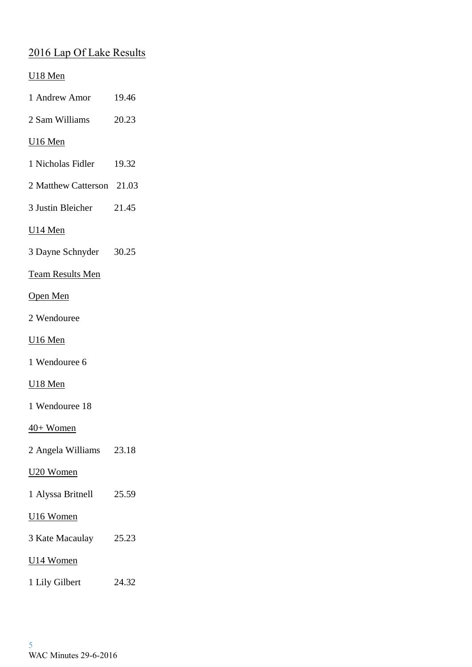# 2016 Lap Of Lake Results

### U18 Men

- 1 Andrew Amor 19.46
- 2 Sam Williams 20.23

### U16 Men

- 1 Nicholas Fidler 19.32
- 2 Matthew Catterson 21.03
- 3 Justin Bleicher 21.45

### U14 Men

3 Dayne Schnyder 30.25

### Team Results Men

### Open Men

2 Wendouree

### U16 Men

1 Wendouree 6

### U18 Men

1 Wendouree 18

### 40+ Women

2 Angela Williams 23.18

### U20 Women

1 Alyssa Britnell 25.59

### U16 Women

- 3 Kate Macaulay 25.23
- U14 Women
- 1 Lily Gilbert 24.32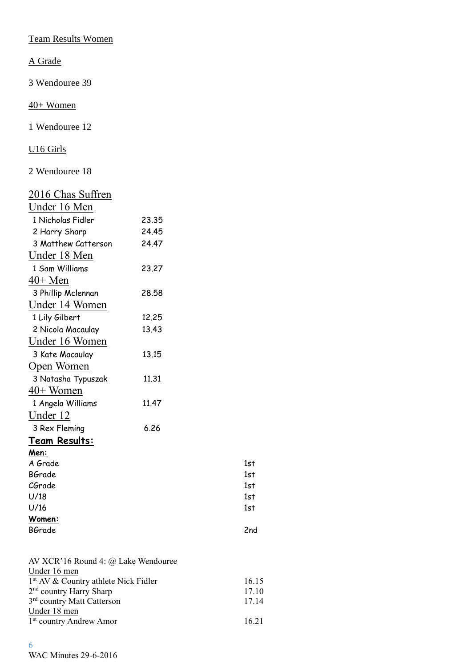Team Results Women

A Grade

3 Wendouree 39

40+ Women

1 Wendouree 12

U16 Girls

2 Wendouree 18

| 2016 Chas Suffren   |       |            |
|---------------------|-------|------------|
| Under 16 Men        |       |            |
| 1 Nicholas Fidler   | 23.35 |            |
| 2 Harry Sharp       | 24.45 |            |
| 3 Matthew Catterson | 24.47 |            |
| Under 18 Men        |       |            |
| 1 Sam Williams      | 23,27 |            |
| $40+$ Men           |       |            |
| 3 Phillip Mclennan  | 28.58 |            |
| Under 14 Women      |       |            |
| 1 Lily Gilbert      | 12.25 |            |
| 2 Nicola Macaulay   | 13.43 |            |
| Under 16 Women      |       |            |
| 3 Kate Macaulay     | 13.15 |            |
| Open Women          |       |            |
| 3 Natasha Typuszak  | 11.31 |            |
| $40+$ Women         |       |            |
| 1 Angela Williams   | 11.47 |            |
| <u>Under 12</u>     |       |            |
| 3 Rex Fleming       | 6.26  |            |
| Team Results:       |       |            |
| Men:                |       |            |
| A Grade             |       | 1st        |
| <b>BGrade</b>       |       | 1st        |
| CGrade<br>U/18      |       | 1st<br>1st |
| U/16                |       | 1st        |
| Women:              |       |            |
| <b>BGrade</b>       |       | 2nd        |
|                     |       |            |

| AV XCR'16 Round 4: @ Lake Wendouree              |       |
|--------------------------------------------------|-------|
| Under 16 men                                     |       |
| 1 <sup>st</sup> AV & Country athlete Nick Fidler | 16.15 |
| $2nd$ country Harry Sharp                        | 17.10 |
| 3 <sup>rd</sup> country Matt Catterson           | 17.14 |
| Under 18 men                                     |       |
| $1st$ country Andrew Amor                        | 16.21 |
|                                                  |       |